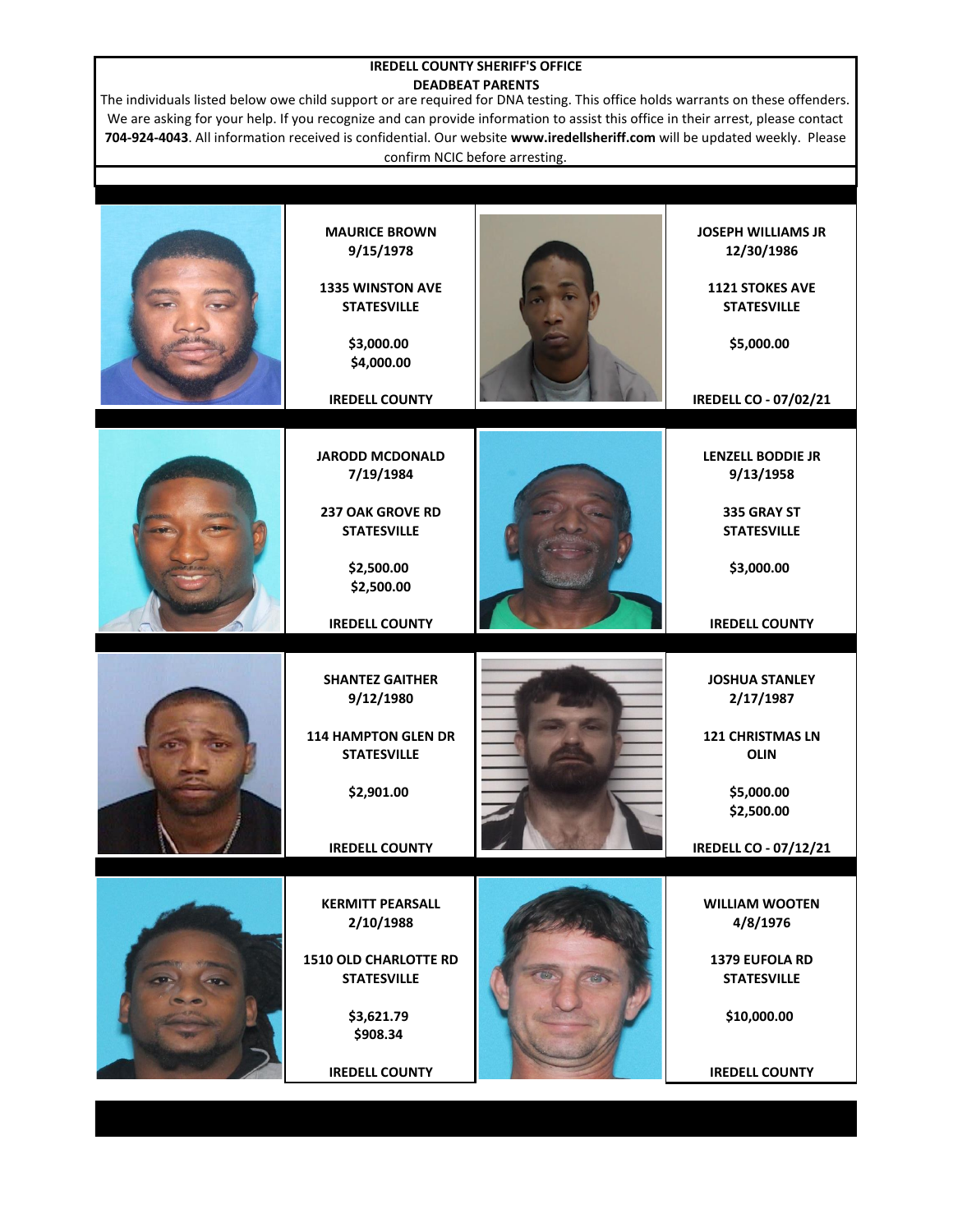## **IREDELL COUNTY SHERIFF'S OFFICE DEADBEAT PARENTS**

The individuals listed below owe child support or are required for DNA testing. This office holds warrants on these offenders. We are asking for your help. If you recognize and can provide information to assist this office in their arrest, please contact **704-924-4043**. All information received is confidential. Our website **www.iredellsheriff.com** will be updated weekly. Please confirm NCIC before arresting.

| <b>MAURICE BROWN</b><br>9/15/1978<br>1335 WINSTON AVE<br><b>STATESVILLE</b><br>\$3,000.00<br>\$4,000.00<br><b>IREDELL COUNTY</b>       | <b>JOSEPH WILLIAMS JR</b><br>12/30/1986<br>1121 STOKES AVE<br><b>STATESVILLE</b><br>\$5,000.00<br><b>IREDELL CO - 07/02/21</b>           |
|----------------------------------------------------------------------------------------------------------------------------------------|------------------------------------------------------------------------------------------------------------------------------------------|
| <b>JARODD MCDONALD</b><br>7/19/1984<br>237 OAK GROVE RD<br><b>STATESVILLE</b><br>\$2,500.00<br>\$2,500.00<br><b>IREDELL COUNTY</b>     | <b>LENZELL BODDIE JR</b><br>9/13/1958<br>335 GRAY ST<br><b>STATESVILLE</b><br>\$3,000.00<br><b>IREDELL COUNTY</b>                        |
| <b>SHANTEZ GAITHER</b><br>9/12/1980<br>114 HAMPTON GLEN DR<br><b>STATESVILLE</b><br>\$2,901.00<br><b>IREDELL COUNTY</b>                | <b>JOSHUA STANLEY</b><br>2/17/1987<br><b>121 CHRISTMAS LN</b><br><b>OLIN</b><br>\$5,000.00<br>\$2,500.00<br><b>IREDELL CO - 07/12/21</b> |
| <b>KERMITT PEARSALL</b><br>2/10/1988<br>1510 OLD CHARLOTTE RD<br><b>STATESVILLE</b><br>\$3,621.79<br>\$908.34<br><b>IREDELL COUNTY</b> | <b>WILLIAM WOOTEN</b><br>4/8/1976<br>1379 EUFOLA RD<br><b>STATESVILLE</b><br>\$10,000.00<br><b>IREDELL COUNTY</b>                        |